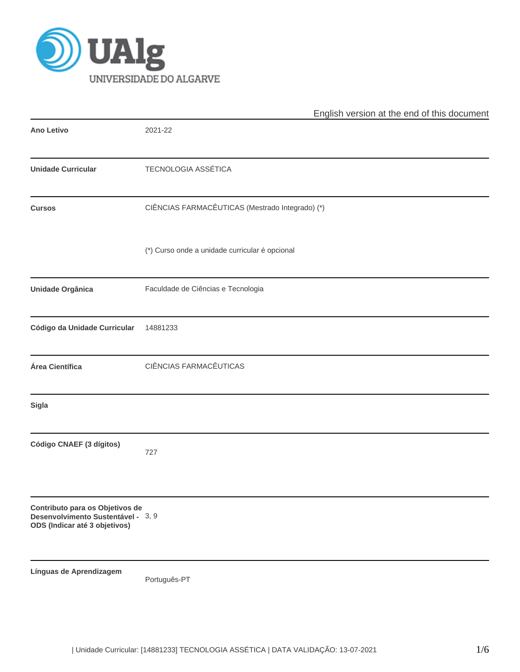

|                                                                                                        | English version at the end of this document     |
|--------------------------------------------------------------------------------------------------------|-------------------------------------------------|
| <b>Ano Letivo</b>                                                                                      | 2021-22                                         |
| <b>Unidade Curricular</b>                                                                              | <b>TECNOLOGIA ASSÉTICA</b>                      |
| <b>Cursos</b>                                                                                          | CIÊNCIAS FARMACÊUTICAS (Mestrado Integrado) (*) |
|                                                                                                        | (*) Curso onde a unidade curricular é opcional  |
| Unidade Orgânica                                                                                       | Faculdade de Ciências e Tecnologia              |
| Código da Unidade Curricular                                                                           | 14881233                                        |
| Área Científica                                                                                        | CIÊNCIAS FARMACÊUTICAS                          |
| <b>Sigla</b>                                                                                           |                                                 |
| Código CNAEF (3 dígitos)                                                                               | 727                                             |
| Contributo para os Objetivos de<br>Desenvolvimento Sustentável - 3, 9<br>ODS (Indicar até 3 objetivos) |                                                 |
| Línguas de Aprendizagem                                                                                | Português-PT                                    |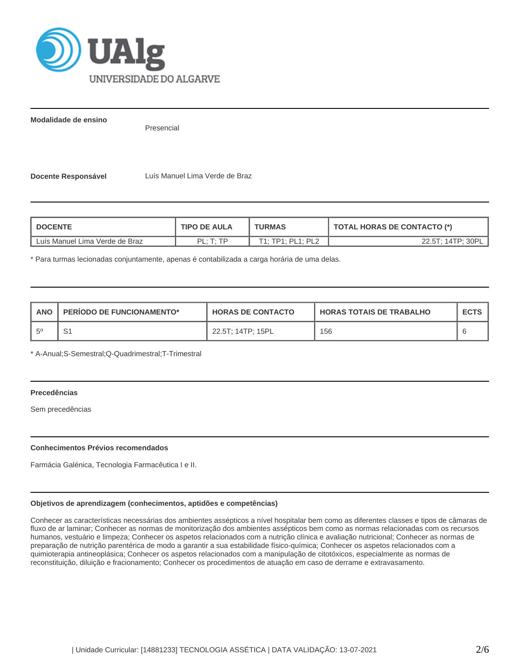

**Modalidade de ensino**

Presencial

**Docente Responsável** Luís Manuel Lima Verde de Braz

| <b>DOCENTE</b>                 | <b>TIPO DE AULA</b>          | <b>TURMAS</b>     | <b>TOTAL HORAS DE CONTACTO (*)</b> |  |  |
|--------------------------------|------------------------------|-------------------|------------------------------------|--|--|
| Luís Manuel Lima Verde de Braz | $PI \cdot T \cdot TD$<br>. . | T1: TP1: PL1: PL2 | 22.5T; 14TP; 30PL                  |  |  |

\* Para turmas lecionadas conjuntamente, apenas é contabilizada a carga horária de uma delas.

| <b>ANO</b>  | <b>PERIODO DE FUNCIONAMENTO*</b> | <b>HORAS DE CONTACTO</b> | <b>HORAS TOTAIS DE TRABALHO</b> | <b>ECTS</b> |
|-------------|----------------------------------|--------------------------|---------------------------------|-------------|
| $5^{\circ}$ |                                  | 22.5T: 14TP: 15PL        | 156                             |             |

\* A-Anual;S-Semestral;Q-Quadrimestral;T-Trimestral

# **Precedências**

Sem precedências

### **Conhecimentos Prévios recomendados**

Farmácia Galénica, Tecnologia Farmacêutica I e II.

### **Objetivos de aprendizagem (conhecimentos, aptidões e competências)**

Conhecer as características necessárias dos ambientes assépticos a nível hospitalar bem como as diferentes classes e tipos de câmaras de fluxo de ar laminar; Conhecer as normas de monitorização dos ambientes assépticos bem como as normas relacionadas com os recursos humanos, vestuário e limpeza; Conhecer os aspetos relacionados com a nutrição clínica e avaliação nutricional; Conhecer as normas de preparação de nutrição parentérica de modo a garantir a sua estabilidade físico-química; Conhecer os aspetos relacionados com a quimioterapia antineoplásica; Conhecer os aspetos relacionados com a manipulação de citotóxicos, especialmente as normas de reconstituição, diluição e fracionamento; Conhecer os procedimentos de atuação em caso de derrame e extravasamento.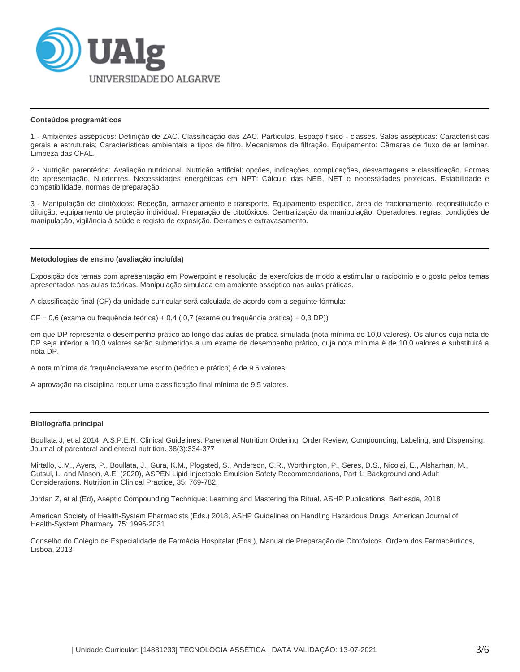

#### **Conteúdos programáticos**

1 - Ambientes assépticos: Definição de ZAC. Classificação das ZAC. Partículas. Espaço físico - classes. Salas assépticas: Características gerais e estruturais; Características ambientais e tipos de filtro. Mecanismos de filtração. Equipamento: Câmaras de fluxo de ar laminar. Limpeza das CFAL.

2 - Nutrição parentérica: Avaliação nutricional. Nutrição artificial: opções, indicações, complicações, desvantagens e classificação. Formas de apresentação. Nutrientes. Necessidades energéticas em NPT: Cálculo das NEB, NET e necessidades proteicas. Estabilidade e compatibilidade, normas de preparação.

3 - Manipulação de citotóxicos: Receção, armazenamento e transporte. Equipamento específico, área de fracionamento, reconstituição e diluição, equipamento de proteção individual. Preparação de citotóxicos. Centralização da manipulação. Operadores: regras, condições de manipulação, vigilância à saúde e registo de exposição. Derrames e extravasamento.

#### **Metodologias de ensino (avaliação incluída)**

Exposição dos temas com apresentação em Powerpoint e resolução de exercícios de modo a estimular o raciocínio e o gosto pelos temas apresentados nas aulas teóricas. Manipulação simulada em ambiente asséptico nas aulas práticas.

A classificação final (CF) da unidade curricular será calculada de acordo com a seguinte fórmula:

CF = 0,6 (exame ou frequência teórica) + 0,4 ( 0,7 (exame ou frequência prática) + 0,3 DP))

em que DP representa o desempenho prático ao longo das aulas de prática simulada (nota mínima de 10,0 valores). Os alunos cuja nota de DP seja inferior a 10,0 valores serão submetidos a um exame de desempenho prático, cuja nota mínima é de 10,0 valores e substituirá a nota DP.

A nota mínima da frequência/exame escrito (teórico e prático) é de 9.5 valores.

A aprovação na disciplina requer uma classificação final mínima de 9,5 valores.

#### **Bibliografia principal**

Boullata J, et al 2014, A.S.P.E.N. Clinical Guidelines: Parenteral Nutrition Ordering, Order Review, Compounding, Labeling, and Dispensing. Journal of parenteral and enteral nutrition. 38(3):334-377

Mirtallo, J.M., Ayers, P., Boullata, J., Gura, K.M., Plogsted, S., Anderson, C.R., Worthington, P., Seres, D.S., Nicolai, E., Alsharhan, M., Gutsul, L. and Mason, A.E. (2020), ASPEN Lipid Injectable Emulsion Safety Recommendations, Part 1: Background and Adult Considerations. Nutrition in Clinical Practice, 35: 769-782.

Jordan Z, et al (Ed), Aseptic Compounding Technique: Learning and Mastering the Ritual. ASHP Publications, Bethesda, 2018

American Society of Health-System Pharmacists (Eds.) 2018, ASHP Guidelines on Handling Hazardous Drugs. American Journal of Health-System Pharmacy. 75: 1996-2031

Conselho do Colégio de Especialidade de Farmácia Hospitalar (Eds.), Manual de Preparação de Citotóxicos, Ordem dos Farmacêuticos, Lisboa, 2013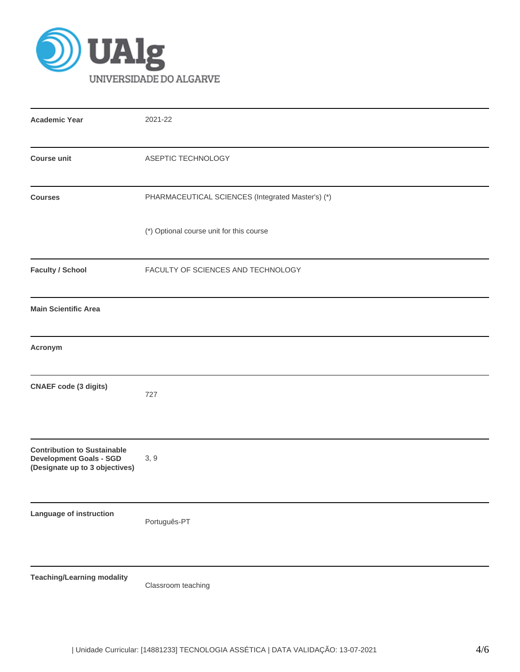

| <b>Academic Year</b>                                                                                   | 2021-22                                           |
|--------------------------------------------------------------------------------------------------------|---------------------------------------------------|
| <b>Course unit</b>                                                                                     | ASEPTIC TECHNOLOGY                                |
| <b>Courses</b>                                                                                         | PHARMACEUTICAL SCIENCES (Integrated Master's) (*) |
|                                                                                                        | (*) Optional course unit for this course          |
| <b>Faculty / School</b>                                                                                | FACULTY OF SCIENCES AND TECHNOLOGY                |
| <b>Main Scientific Area</b>                                                                            |                                                   |
| Acronym                                                                                                |                                                   |
| <b>CNAEF code (3 digits)</b>                                                                           | 727                                               |
| <b>Contribution to Sustainable</b><br><b>Development Goals - SGD</b><br>(Designate up to 3 objectives) | 3, 9                                              |
| Language of instruction                                                                                | Português-PT                                      |
| <b>Teaching/Learning modality</b>                                                                      | Classroom teaching                                |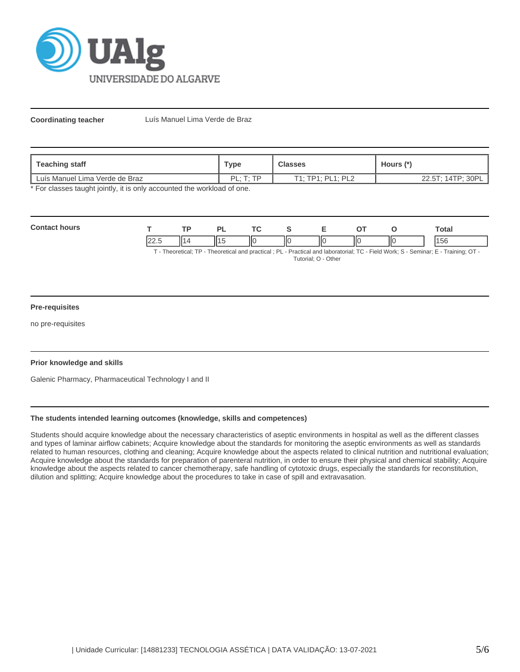

**Coordinating teacher** Luís Manuel Lima Verde de Braz

| Teaching staff                 | <b>Type</b>                 | <b>Classes</b>    | Hours (*)            |  |  |
|--------------------------------|-----------------------------|-------------------|----------------------|--|--|
| Luís Manuel Lima Verde de Braz | י ום ּ<br>$T \cdot TD$<br>. | T1: TP1: PL1: PL2 | 14TP; 30P<br>22.5T:1 |  |  |

\* For classes taught jointly, it is only accounted the workload of one.

| Con | <b>TD</b> | $\tau$  | . . |    |     | <b>Total</b> |
|-----|-----------|---------|-----|----|-----|--------------|
|     | п.        | ШC<br>Ш | ΠО  | ١К | IІC | эť           |

T - Theoretical; TP - Theoretical and practical ; PL - Practical and laboratorial; TC - Field Work; S - Seminar; E - Training; OT - Tutorial; O - Other

### **Pre-requisites**

no pre-requisites

### **Prior knowledge and skills**

Galenic Pharmacy, Pharmaceutical Technology I and II

## **The students intended learning outcomes (knowledge, skills and competences)**

Students should acquire knowledge about the necessary characteristics of aseptic environments in hospital as well as the different classes and types of laminar airflow cabinets; Acquire knowledge about the standards for monitoring the aseptic environments as well as standards related to human resources, clothing and cleaning; Acquire knowledge about the aspects related to clinical nutrition and nutritional evaluation; Acquire knowledge about the standards for preparation of parenteral nutrition, in order to ensure their physical and chemical stability; Acquire knowledge about the aspects related to cancer chemotherapy, safe handling of cytotoxic drugs, especially the standards for reconstitution, dilution and splitting; Acquire knowledge about the procedures to take in case of spill and extravasation.